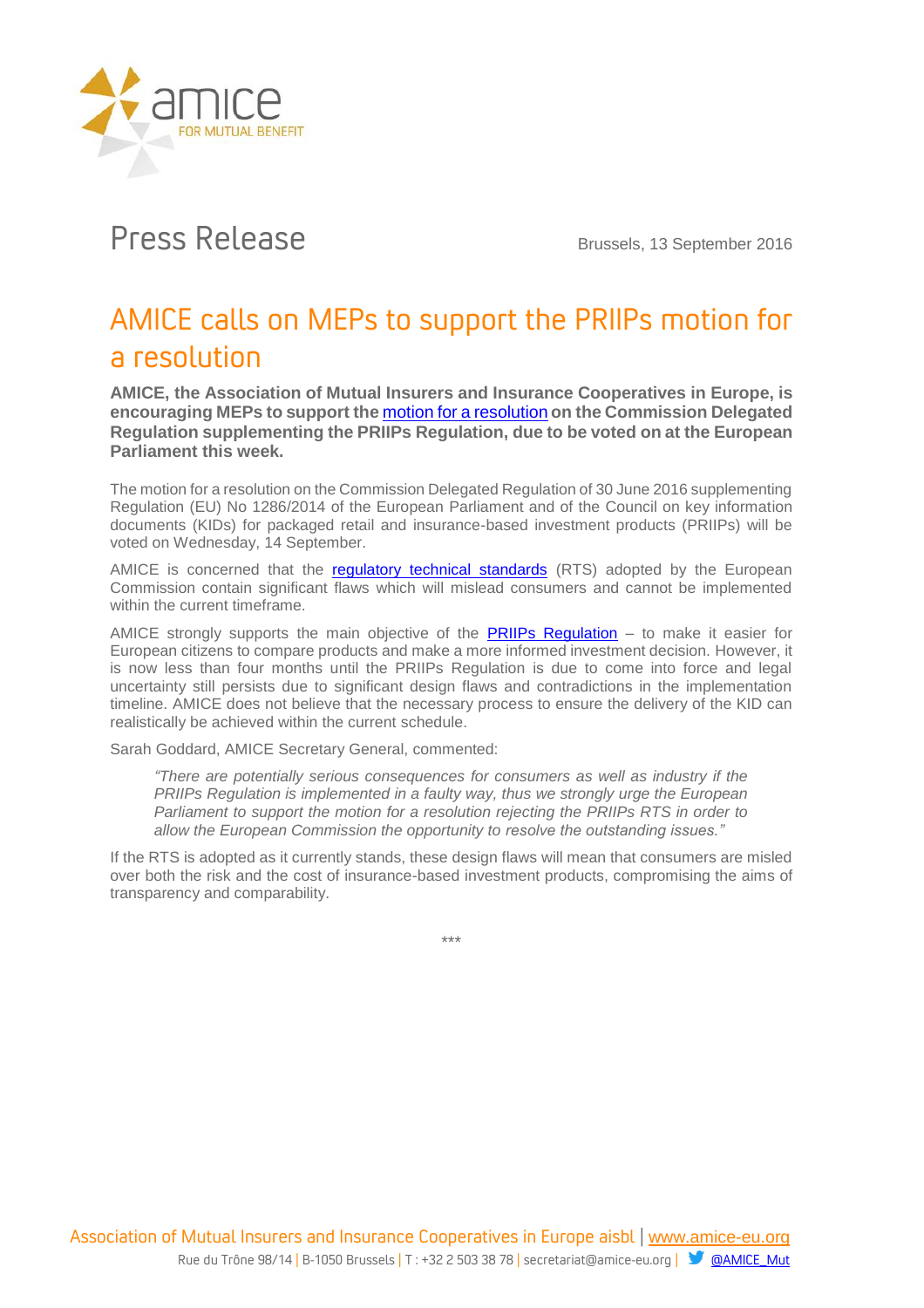

## Press Release Brussels, 13 September 2016

## AMICE calls on MEPs to support the PRIIPs motion for a resolution

**AMICE, the Association of Mutual Insurers and Insurance Cooperatives in Europe, is encouraging MEPs to support the** [motion for a resolution](http://www.europarl.europa.eu/sides/getDoc.do?type=MOTION&reference=B8-2016-0974&format=XML&language=EN) **on the Commission Delegated Regulation supplementing the PRIIPs Regulation, due to be voted on at the European Parliament this week.**

The motion for a resolution on the Commission Delegated Regulation of 30 June 2016 supplementing Regulation (EU) No 1286/2014 of the European Parliament and of the Council on key information documents (KIDs) for packaged retail and insurance-based investment products (PRIIPs) will be voted on Wednesday, 14 September.

AMICE is concerned that the [regulatory technical standards](http://ec.europa.eu/finance/finservices-retail/docs/investment_products/20160630-delegated_regulation_en.pdf) (RTS) adopted by the European Commission contain significant flaws which will mislead consumers and cannot be implemented within the current timeframe.

AMICE strongly supports the main objective of the **PRIIPs Regulation**  $-$  to make it easier for European citizens to compare products and make a more informed investment decision. However, it is now less than four months until the PRIIPs Regulation is due to come into force and legal uncertainty still persists due to significant design flaws and contradictions in the implementation timeline. AMICE does not believe that the necessary process to ensure the delivery of the KID can realistically be achieved within the current schedule.

Sarah Goddard, AMICE Secretary General, commented:

*"There are potentially serious consequences for consumers as well as industry if the PRIIPs Regulation is implemented in a faulty way, thus we strongly urge the European Parliament to support the motion for a resolution rejecting the PRIIPs RTS in order to allow the European Commission the opportunity to resolve the outstanding issues."*

If the RTS is adopted as it currently stands, these design flaws will mean that consumers are misled over both the risk and the cost of insurance-based investment products, compromising the aims of transparency and comparability.

\*\*\*